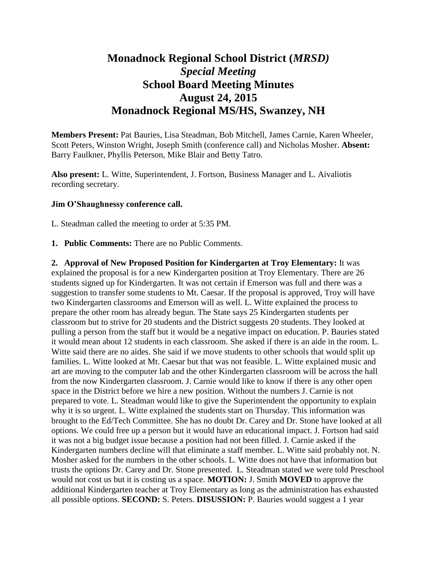## **Monadnock Regional School District (***MRSD) Special Meeting* **School Board Meeting Minutes August 24, 2015 Monadnock Regional MS/HS, Swanzey, NH**

**Members Present:** Pat Bauries, Lisa Steadman, Bob Mitchell, James Carnie, Karen Wheeler, Scott Peters, Winston Wright, Joseph Smith (conference call) and Nicholas Mosher. **Absent:**  Barry Faulkner, Phyllis Peterson, Mike Blair and Betty Tatro.

**Also present:** L. Witte, Superintendent, J. Fortson, Business Manager and L. Aivaliotis recording secretary.

## **Jim O'Shaughnessy conference call.**

L. Steadman called the meeting to order at 5:35 PM.

**1. Public Comments:** There are no Public Comments.

**2. Approval of New Proposed Position for Kindergarten at Troy Elementary:** It was explained the proposal is for a new Kindergarten position at Troy Elementary. There are 26 students signed up for Kindergarten. It was not certain if Emerson was full and there was a suggestion to transfer some students to Mt. Caesar. If the proposal is approved, Troy will have two Kindergarten classrooms and Emerson will as well. L. Witte explained the process to prepare the other room has already begun. The State says 25 Kindergarten students per classroom but to strive for 20 students and the District suggests 20 students. They looked at pulling a person from the staff but it would be a negative impact on education. P. Bauries stated it would mean about 12 students in each classroom. She asked if there is an aide in the room. L. Witte said there are no aides. She said if we move students to other schools that would split up families. L. Witte looked at Mt. Caesar but that was not feasible. L. Witte explained music and art are moving to the computer lab and the other Kindergarten classroom will be across the hall from the now Kindergarten classroom. J. Carnie would like to know if there is any other open space in the District before we hire a new position. Without the numbers J. Carnie is not prepared to vote. L. Steadman would like to give the Superintendent the opportunity to explain why it is so urgent. L. Witte explained the students start on Thursday. This information was brought to the Ed/Tech Committee. She has no doubt Dr. Carey and Dr. Stone have looked at all options. We could free up a person but it would have an educational impact. J. Fortson had said it was not a big budget issue because a position had not been filled. J. Carnie asked if the Kindergarten numbers decline will that eliminate a staff member. L. Witte said probably not. N. Mosher asked for the numbers in the other schools. L. Witte does not have that information but trusts the options Dr. Carey and Dr. Stone presented. L. Steadman stated we were told Preschool would not cost us but it is costing us a space. **MOTION:** J. Smith **MOVED** to approve the additional Kindergarten teacher at Troy Elementary as long as the administration has exhausted all possible options. **SECOND:** S. Peters. **DISUSSION:** P. Bauries would suggest a 1 year